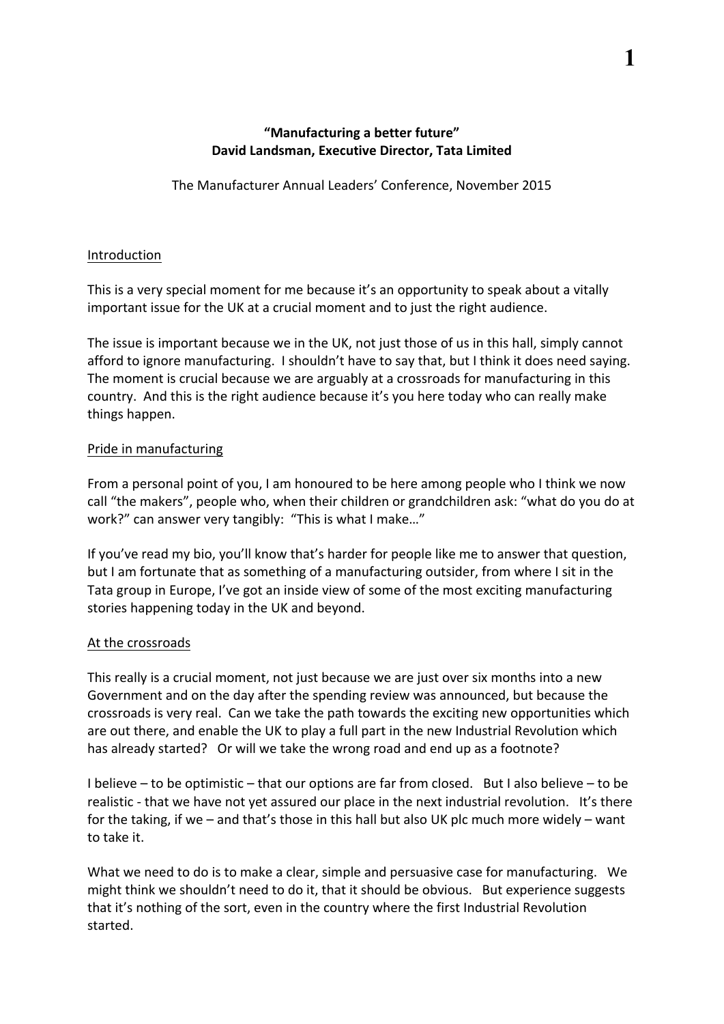# **"Manufacturing a better future" David Landsman, Executive Director, Tata Limited**

The Manufacturer Annual Leaders' Conference, November 2015

### Introduction

This is a very special moment for me because it's an opportunity to speak about a vitally important issue for the UK at a crucial moment and to just the right audience.

The issue is important because we in the UK, not just those of us in this hall, simply cannot afford to ignore manufacturing. I shouldn't have to say that, but I think it does need saying. The moment is crucial because we are arguably at a crossroads for manufacturing in this country. And this is the right audience because it's you here today who can really make things happen.

## Pride in manufacturing

From a personal point of you, I am honoured to be here among people who I think we now call "the makers", people who, when their children or grandchildren ask: "what do you do at work?" can answer very tangibly: "This is what I make..."

If you've read my bio, you'll know that's harder for people like me to answer that question, but I am fortunate that as something of a manufacturing outsider, from where I sit in the Tata group in Europe, I've got an inside view of some of the most exciting manufacturing stories happening today in the UK and beyond.

#### At the crossroads

This really is a crucial moment, not just because we are just over six months into a new Government and on the day after the spending review was announced, but because the crossroads is very real. Can we take the path towards the exciting new opportunities which are out there, and enable the UK to play a full part in the new Industrial Revolution which has already started? Or will we take the wrong road and end up as a footnote?

I believe – to be optimistic – that our options are far from closed. But I also believe – to be realistic - that we have not yet assured our place in the next industrial revolution. It's there for the taking, if we  $-$  and that's those in this hall but also UK plc much more widely  $-$  want to take it.

What we need to do is to make a clear, simple and persuasive case for manufacturing. We might think we shouldn't need to do it, that it should be obvious. But experience suggests that it's nothing of the sort, even in the country where the first Industrial Revolution started.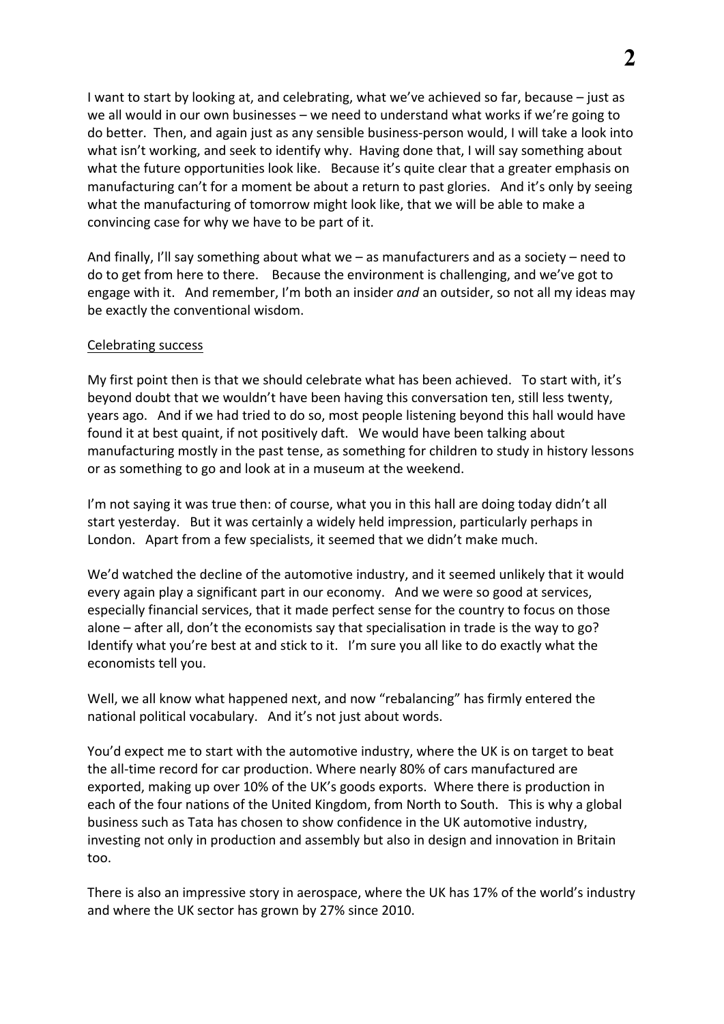I want to start by looking at, and celebrating, what we've achieved so far, because – just as we all would in our own businesses – we need to understand what works if we're going to do better. Then, and again just as any sensible business-person would, I will take a look into what isn't working, and seek to identify why. Having done that, I will say something about what the future opportunities look like. Because it's quite clear that a greater emphasis on manufacturing can't for a moment be about a return to past glories. And it's only by seeing what the manufacturing of tomorrow might look like, that we will be able to make a convincing case for why we have to be part of it.

And finally, I'll say something about what we  $-$  as manufacturers and as a society  $-$  need to do to get from here to there. Because the environment is challenging, and we've got to engage with it. And remember, I'm both an insider *and* an outsider, so not all my ideas may be exactly the conventional wisdom.

#### Celebrating success

My first point then is that we should celebrate what has been achieved. To start with, it's beyond doubt that we wouldn't have been having this conversation ten, still less twenty, years ago. And if we had tried to do so, most people listening beyond this hall would have found it at best quaint, if not positively daft. We would have been talking about manufacturing mostly in the past tense, as something for children to study in history lessons or as something to go and look at in a museum at the weekend.

I'm not saying it was true then: of course, what you in this hall are doing today didn't all start yesterday. But it was certainly a widely held impression, particularly perhaps in London. Apart from a few specialists, it seemed that we didn't make much.

We'd watched the decline of the automotive industry, and it seemed unlikely that it would every again play a significant part in our economy. And we were so good at services, especially financial services, that it made perfect sense for the country to focus on those alone – after all, don't the economists say that specialisation in trade is the way to go? Identify what you're best at and stick to it. I'm sure you all like to do exactly what the economists tell you.

Well, we all know what happened next, and now "rebalancing" has firmly entered the national political vocabulary. And it's not just about words.

You'd expect me to start with the automotive industry, where the UK is on target to beat the all-time record for car production. Where nearly 80% of cars manufactured are exported, making up over 10% of the UK's goods exports. Where there is production in each of the four nations of the United Kingdom, from North to South. This is why a global business such as Tata has chosen to show confidence in the UK automotive industry, investing not only in production and assembly but also in design and innovation in Britain too. 

There is also an impressive story in aerospace, where the UK has 17% of the world's industry and where the UK sector has grown by 27% since 2010.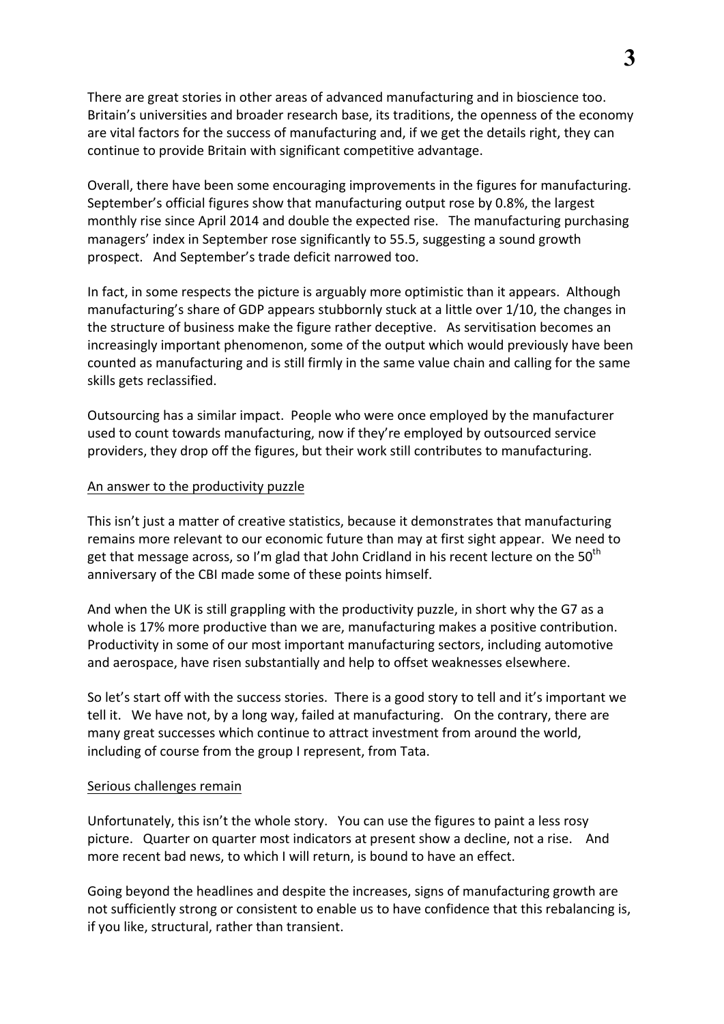There are great stories in other areas of advanced manufacturing and in bioscience too. Britain's universities and broader research base, its traditions, the openness of the economy are vital factors for the success of manufacturing and, if we get the details right, they can continue to provide Britain with significant competitive advantage.

Overall, there have been some encouraging improvements in the figures for manufacturing. September's official figures show that manufacturing output rose by 0.8%, the largest monthly rise since April 2014 and double the expected rise. The manufacturing purchasing managers' index in September rose significantly to 55.5, suggesting a sound growth prospect. And September's trade deficit narrowed too.

In fact, in some respects the picture is arguably more optimistic than it appears. Although manufacturing's share of GDP appears stubbornly stuck at a little over 1/10, the changes in the structure of business make the figure rather deceptive. As servitisation becomes an increasingly important phenomenon, some of the output which would previously have been counted as manufacturing and is still firmly in the same value chain and calling for the same skills gets reclassified.

Outsourcing has a similar impact. People who were once employed by the manufacturer used to count towards manufacturing, now if they're employed by outsourced service providers, they drop off the figures, but their work still contributes to manufacturing.

#### An answer to the productivity puzzle

This isn't just a matter of creative statistics, because it demonstrates that manufacturing remains more relevant to our economic future than may at first sight appear. We need to get that message across, so I'm glad that John Cridland in his recent lecture on the 50<sup>th</sup> anniversary of the CBI made some of these points himself.

And when the UK is still grappling with the productivity puzzle, in short why the G7 as a whole is 17% more productive than we are, manufacturing makes a positive contribution. Productivity in some of our most important manufacturing sectors, including automotive and aerospace, have risen substantially and help to offset weaknesses elsewhere.

So let's start off with the success stories. There is a good story to tell and it's important we tell it. We have not, by a long way, failed at manufacturing. On the contrary, there are many great successes which continue to attract investment from around the world, including of course from the group I represent, from Tata.

#### Serious challenges remain

Unfortunately, this isn't the whole story. You can use the figures to paint a less rosy picture. Quarter on quarter most indicators at present show a decline, not a rise. And more recent bad news, to which I will return, is bound to have an effect.

Going beyond the headlines and despite the increases, signs of manufacturing growth are not sufficiently strong or consistent to enable us to have confidence that this rebalancing is, if you like, structural, rather than transient.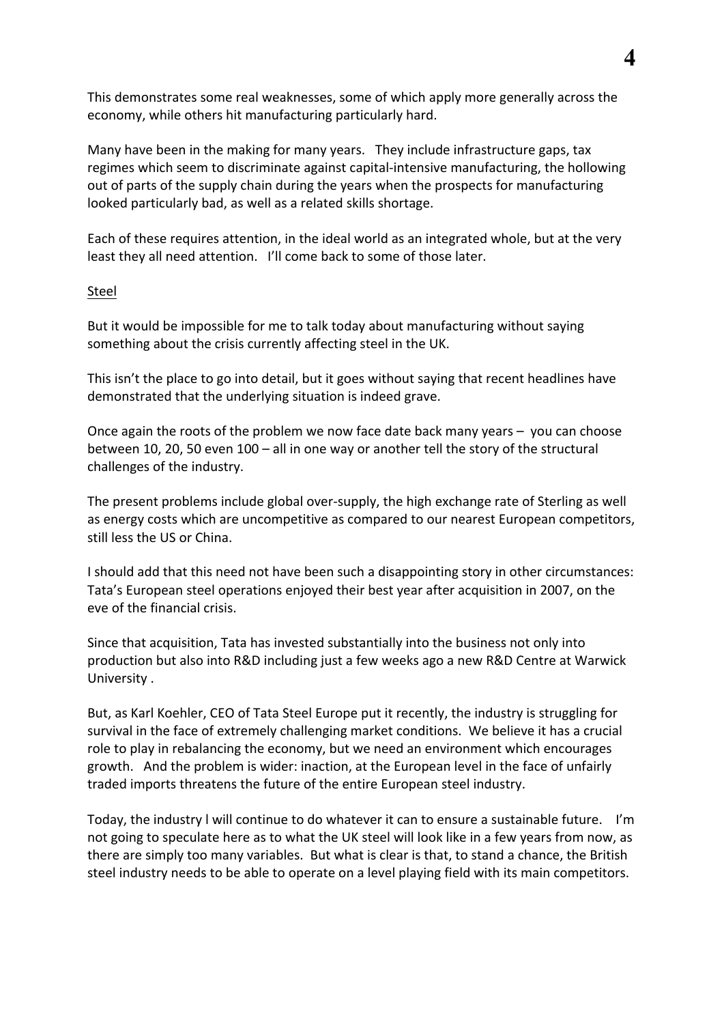This demonstrates some real weaknesses, some of which apply more generally across the economy, while others hit manufacturing particularly hard.

Many have been in the making for many years. They include infrastructure gaps, tax regimes which seem to discriminate against capital-intensive manufacturing, the hollowing out of parts of the supply chain during the years when the prospects for manufacturing looked particularly bad, as well as a related skills shortage.

Each of these requires attention, in the ideal world as an integrated whole, but at the very least they all need attention. I'll come back to some of those later.

#### Steel

But it would be impossible for me to talk today about manufacturing without saying something about the crisis currently affecting steel in the UK.

This isn't the place to go into detail, but it goes without saying that recent headlines have demonstrated that the underlying situation is indeed grave.

Once again the roots of the problem we now face date back many years  $-$  you can choose between 10, 20, 50 even  $100 -$  all in one way or another tell the story of the structural challenges of the industry.

The present problems include global over-supply, the high exchange rate of Sterling as well as energy costs which are uncompetitive as compared to our nearest European competitors, still less the US or China.

I should add that this need not have been such a disappointing story in other circumstances: Tata's European steel operations enjoyed their best year after acquisition in 2007, on the eve of the financial crisis.

Since that acquisition, Tata has invested substantially into the business not only into production but also into R&D including just a few weeks ago a new R&D Centre at Warwick University .

But, as Karl Koehler, CEO of Tata Steel Europe put it recently, the industry is struggling for survival in the face of extremely challenging market conditions. We believe it has a crucial role to play in rebalancing the economy, but we need an environment which encourages growth. And the problem is wider: inaction, at the European level in the face of unfairly traded imports threatens the future of the entire European steel industry.

Today, the industry I will continue to do whatever it can to ensure a sustainable future. I'm not going to speculate here as to what the UK steel will look like in a few years from now, as there are simply too many variables. But what is clear is that, to stand a chance, the British steel industry needs to be able to operate on a level playing field with its main competitors.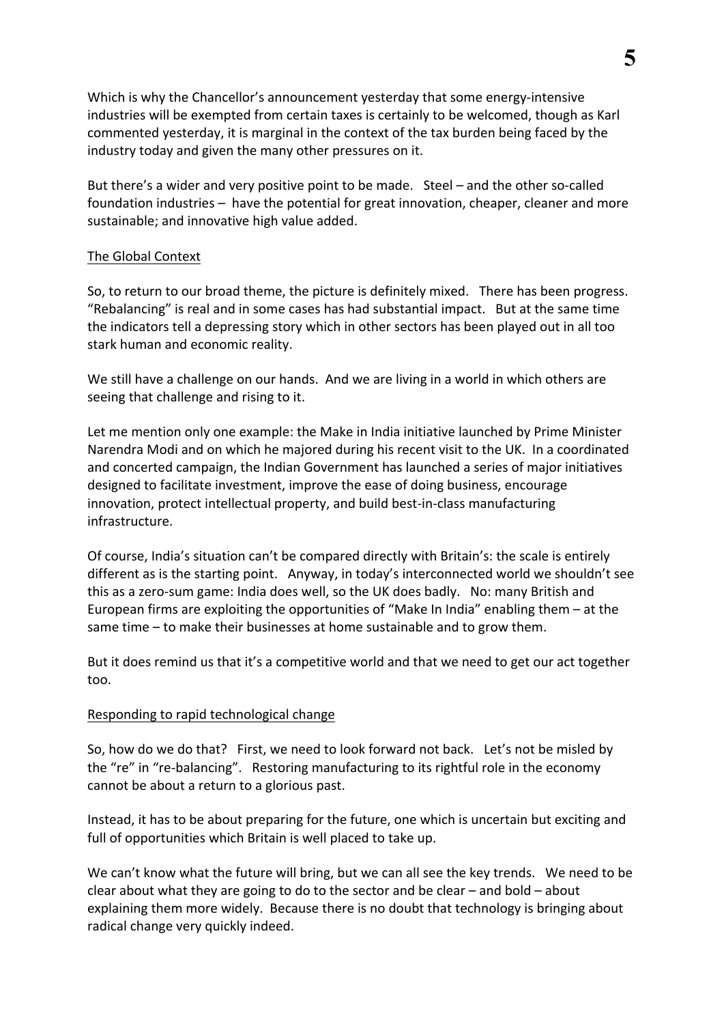Which is why the Chancellor's announcement yesterday that some energy-intensive industries will be exempted from certain taxes is certainly to be welcomed, though as Karl commented yesterday, it is marginal in the context of the tax burden being faced by the industry today and given the many other pressures on it.

But there's a wider and very positive point to be made. Steel – and the other so-called foundation industries – have the potential for great innovation, cheaper, cleaner and more sustainable; and innovative high value added.

### The Global Context

So, to return to our broad theme, the picture is definitely mixed. There has been progress. "Rebalancing" is real and in some cases has had substantial impact. But at the same time the indicators tell a depressing story which in other sectors has been played out in all too stark human and economic reality.

We still have a challenge on our hands. And we are living in a world in which others are seeing that challenge and rising to it.

Let me mention only one example: the Make in India initiative launched by Prime Minister Narendra Modi and on which he majored during his recent visit to the UK. In a coordinated and concerted campaign, the Indian Government has launched a series of major initiatives designed to facilitate investment, improve the ease of doing business, encourage innovation, protect intellectual property, and build best-in-class manufacturing infrastructure. 

Of course, India's situation can't be compared directly with Britain's: the scale is entirely different as is the starting point. Anyway, in today's interconnected world we shouldn't see this as a zero-sum game: India does well, so the UK does badly. No: many British and European firms are exploiting the opportunities of "Make In India" enabling them – at the same time  $-$  to make their businesses at home sustainable and to grow them.

But it does remind us that it's a competitive world and that we need to get our act together too.

# Responding to rapid technological change

So, how do we do that? First, we need to look forward not back. Let's not be misled by the "re" in "re-balancing". Restoring manufacturing to its rightful role in the economy cannot be about a return to a glorious past.

Instead, it has to be about preparing for the future, one which is uncertain but exciting and full of opportunities which Britain is well placed to take up.

We can't know what the future will bring, but we can all see the key trends. We need to be clear about what they are going to do to the sector and be clear  $-$  and bold  $-$  about explaining them more widely. Because there is no doubt that technology is bringing about radical change very quickly indeed.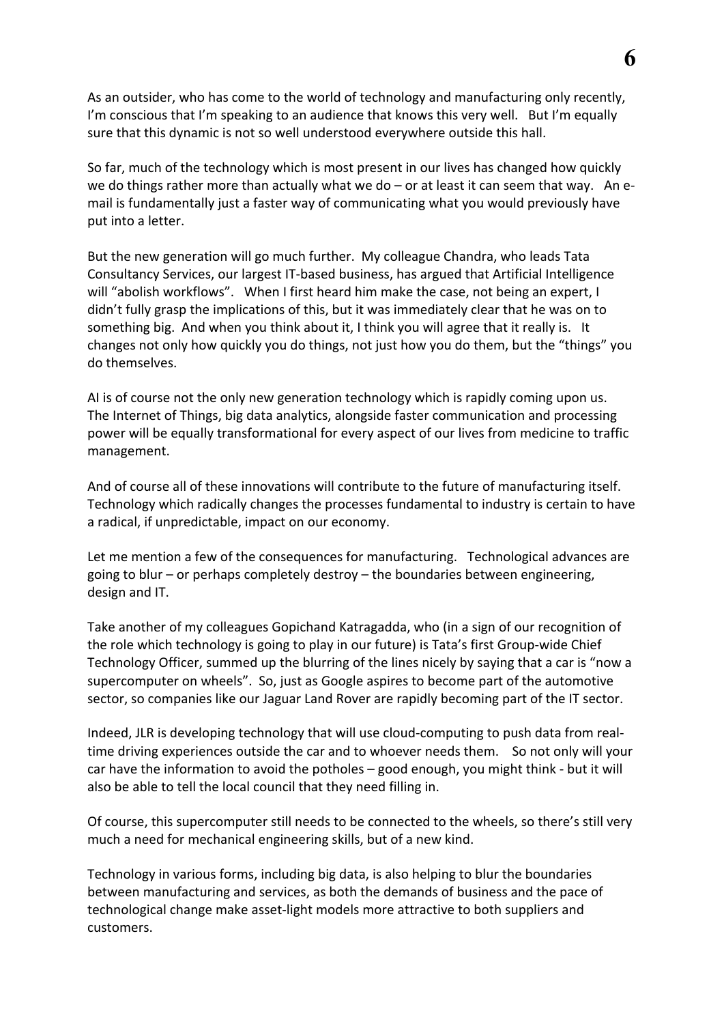As an outsider, who has come to the world of technology and manufacturing only recently, I'm conscious that I'm speaking to an audience that knows this very well. But I'm equally sure that this dynamic is not so well understood everywhere outside this hall.

So far, much of the technology which is most present in our lives has changed how quickly we do things rather more than actually what we do – or at least it can seem that way. An email is fundamentally just a faster way of communicating what you would previously have put into a letter.

But the new generation will go much further. My colleague Chandra, who leads Tata Consultancy Services, our largest IT-based business, has argued that Artificial Intelligence will "abolish workflows". When I first heard him make the case, not being an expert, I didn't fully grasp the implications of this, but it was immediately clear that he was on to something big. And when you think about it, I think you will agree that it really is. It changes not only how quickly you do things, not just how you do them, but the "things" you do themselves.

AI is of course not the only new generation technology which is rapidly coming upon us. The Internet of Things, big data analytics, alongside faster communication and processing power will be equally transformational for every aspect of our lives from medicine to traffic management. 

And of course all of these innovations will contribute to the future of manufacturing itself. Technology which radically changes the processes fundamental to industry is certain to have a radical, if unpredictable, impact on our economy.

Let me mention a few of the consequences for manufacturing. Technological advances are going to blur – or perhaps completely destroy – the boundaries between engineering, design and IT.

Take another of my colleagues Gopichand Katragadda, who (in a sign of our recognition of the role which technology is going to play in our future) is Tata's first Group-wide Chief Technology Officer, summed up the blurring of the lines nicely by saying that a car is "now a supercomputer on wheels". So, just as Google aspires to become part of the automotive sector, so companies like our Jaguar Land Rover are rapidly becoming part of the IT sector.

Indeed, JLR is developing technology that will use cloud-computing to push data from realtime driving experiences outside the car and to whoever needs them. So not only will your car have the information to avoid the potholes – good enough, you might think - but it will also be able to tell the local council that they need filling in.

Of course, this supercomputer still needs to be connected to the wheels, so there's still very much a need for mechanical engineering skills, but of a new kind.

Technology in various forms, including big data, is also helping to blur the boundaries between manufacturing and services, as both the demands of business and the pace of technological change make asset-light models more attractive to both suppliers and customers.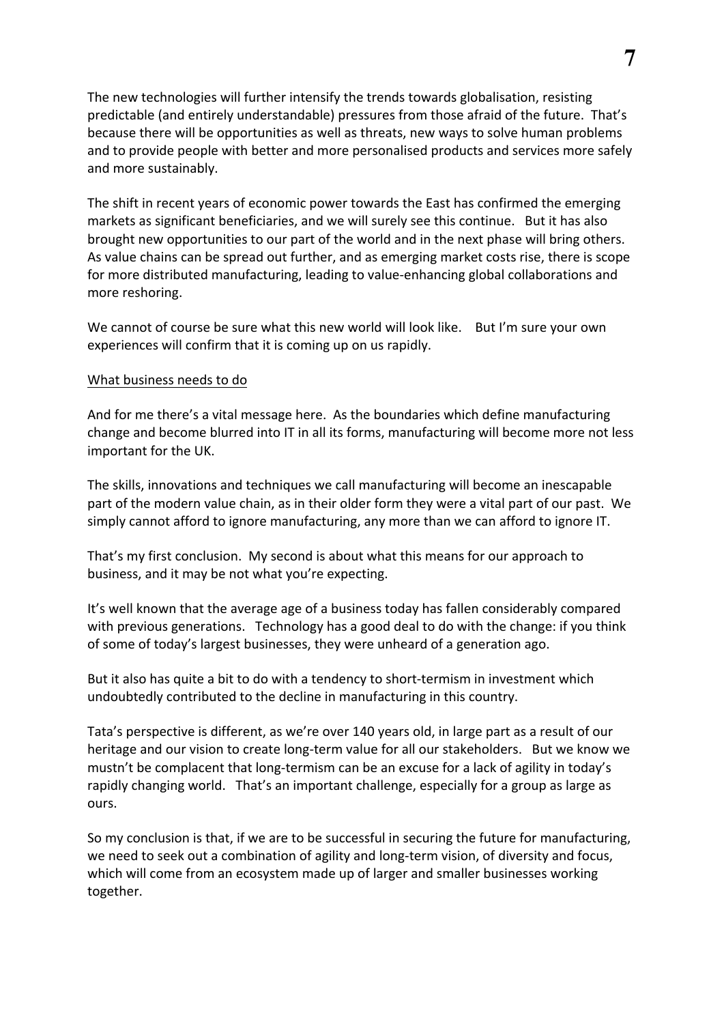The new technologies will further intensify the trends towards globalisation, resisting predictable (and entirely understandable) pressures from those afraid of the future. That's because there will be opportunities as well as threats, new ways to solve human problems and to provide people with better and more personalised products and services more safely and more sustainably.

The shift in recent years of economic power towards the East has confirmed the emerging markets as significant beneficiaries, and we will surely see this continue. But it has also brought new opportunities to our part of the world and in the next phase will bring others. As value chains can be spread out further, and as emerging market costs rise, there is scope for more distributed manufacturing, leading to value-enhancing global collaborations and more reshoring.

We cannot of course be sure what this new world will look like. But I'm sure your own experiences will confirm that it is coming up on us rapidly.

#### What business needs to do

And for me there's a vital message here. As the boundaries which define manufacturing change and become blurred into IT in all its forms, manufacturing will become more not less important for the UK.

The skills, innovations and techniques we call manufacturing will become an inescapable part of the modern value chain, as in their older form they were a vital part of our past. We simply cannot afford to ignore manufacturing, any more than we can afford to ignore IT.

That's my first conclusion. My second is about what this means for our approach to business, and it may be not what you're expecting.

It's well known that the average age of a business today has fallen considerably compared with previous generations. Technology has a good deal to do with the change: if you think of some of today's largest businesses, they were unheard of a generation ago.

But it also has quite a bit to do with a tendency to short-termism in investment which undoubtedly contributed to the decline in manufacturing in this country.

Tata's perspective is different, as we're over 140 years old, in large part as a result of our heritage and our vision to create long-term value for all our stakeholders. But we know we mustn't be complacent that long-termism can be an excuse for a lack of agility in today's rapidly changing world. That's an important challenge, especially for a group as large as ours. 

So my conclusion is that, if we are to be successful in securing the future for manufacturing, we need to seek out a combination of agility and long-term vision, of diversity and focus, which will come from an ecosystem made up of larger and smaller businesses working together.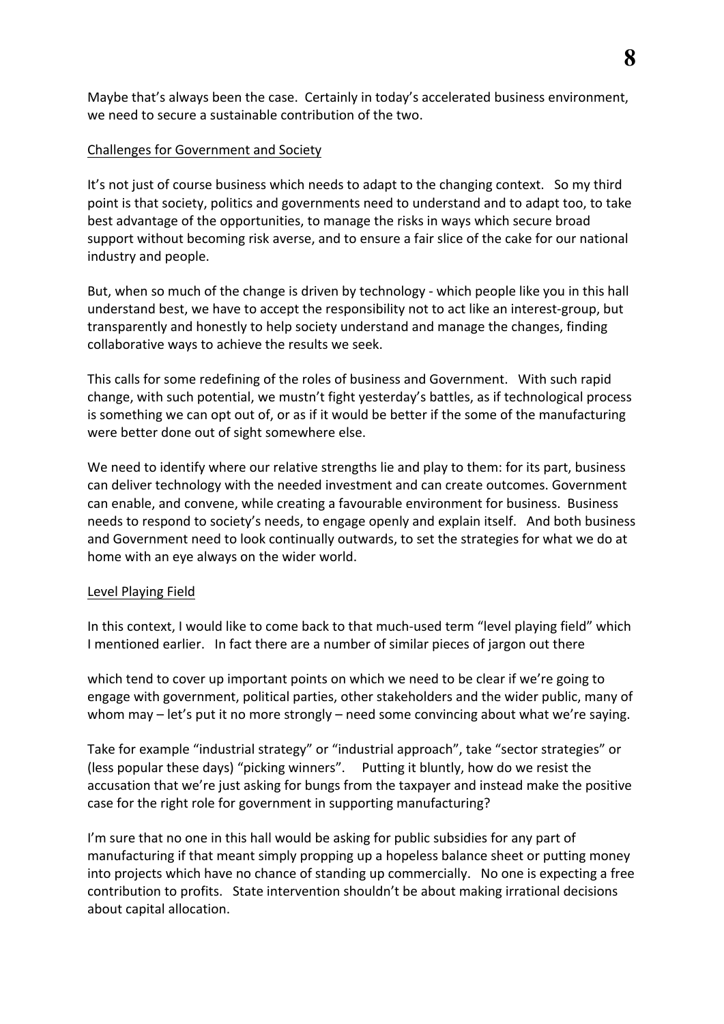Maybe that's always been the case. Certainly in today's accelerated business environment, we need to secure a sustainable contribution of the two.

## Challenges for Government and Society

It's not just of course business which needs to adapt to the changing context. So my third point is that society, politics and governments need to understand and to adapt too, to take best advantage of the opportunities, to manage the risks in ways which secure broad support without becoming risk averse, and to ensure a fair slice of the cake for our national industry and people.

But, when so much of the change is driven by technology - which people like you in this hall understand best, we have to accept the responsibility not to act like an interest-group, but transparently and honestly to help society understand and manage the changes, finding collaborative ways to achieve the results we seek.

This calls for some redefining of the roles of business and Government. With such rapid change, with such potential, we mustn't fight yesterday's battles, as if technological process is something we can opt out of, or as if it would be better if the some of the manufacturing were better done out of sight somewhere else.

We need to identify where our relative strengths lie and play to them: for its part, business can deliver technology with the needed investment and can create outcomes. Government can enable, and convene, while creating a favourable environment for business. Business needs to respond to society's needs, to engage openly and explain itself. And both business and Government need to look continually outwards, to set the strategies for what we do at home with an eye always on the wider world.

#### Level Playing Field

In this context, I would like to come back to that much-used term "level playing field" which I mentioned earlier. In fact there are a number of similar pieces of jargon out there

which tend to cover up important points on which we need to be clear if we're going to engage with government, political parties, other stakeholders and the wider public, many of whom may  $-$  let's put it no more strongly  $-$  need some convincing about what we're saying.

Take for example "industrial strategy" or "industrial approach", take "sector strategies" or (less popular these days) "picking winners". Putting it bluntly, how do we resist the accusation that we're just asking for bungs from the taxpayer and instead make the positive case for the right role for government in supporting manufacturing?

I'm sure that no one in this hall would be asking for public subsidies for any part of manufacturing if that meant simply propping up a hopeless balance sheet or putting money into projects which have no chance of standing up commercially. No one is expecting a free contribution to profits. State intervention shouldn't be about making irrational decisions about capital allocation.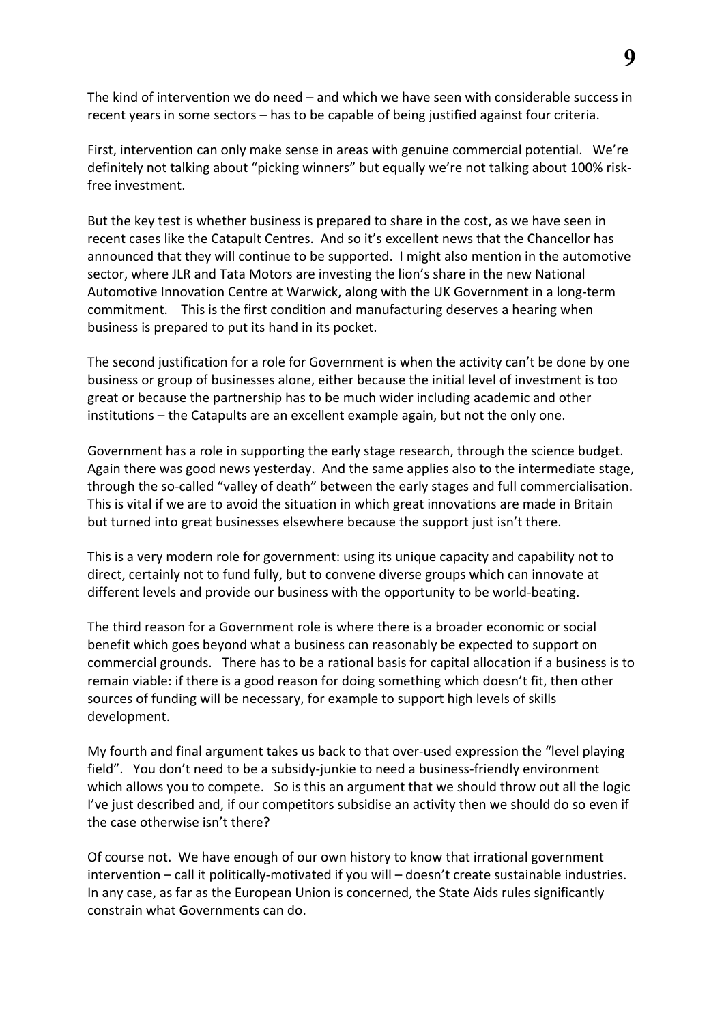The kind of intervention we do need  $-$  and which we have seen with considerable success in recent years in some sectors  $-$  has to be capable of being justified against four criteria.

First, intervention can only make sense in areas with genuine commercial potential. We're definitely not talking about "picking winners" but equally we're not talking about 100% riskfree investment.

But the key test is whether business is prepared to share in the cost, as we have seen in recent cases like the Catapult Centres. And so it's excellent news that the Chancellor has announced that they will continue to be supported. I might also mention in the automotive sector, where JLR and Tata Motors are investing the lion's share in the new National Automotive Innovation Centre at Warwick, along with the UK Government in a long-term commitment. This is the first condition and manufacturing deserves a hearing when business is prepared to put its hand in its pocket.

The second justification for a role for Government is when the activity can't be done by one business or group of businesses alone, either because the initial level of investment is too great or because the partnership has to be much wider including academic and other institutions – the Catapults are an excellent example again, but not the only one.

Government has a role in supporting the early stage research, through the science budget. Again there was good news yesterday. And the same applies also to the intermediate stage, through the so-called "valley of death" between the early stages and full commercialisation. This is vital if we are to avoid the situation in which great innovations are made in Britain but turned into great businesses elsewhere because the support just isn't there.

This is a very modern role for government: using its unique capacity and capability not to direct, certainly not to fund fully, but to convene diverse groups which can innovate at different levels and provide our business with the opportunity to be world-beating.

The third reason for a Government role is where there is a broader economic or social benefit which goes beyond what a business can reasonably be expected to support on commercial grounds. There has to be a rational basis for capital allocation if a business is to remain viable: if there is a good reason for doing something which doesn't fit, then other sources of funding will be necessary, for example to support high levels of skills development.

My fourth and final argument takes us back to that over-used expression the "level playing field". You don't need to be a subsidy-junkie to need a business-friendly environment which allows you to compete. So is this an argument that we should throw out all the logic I've just described and, if our competitors subsidise an activity then we should do so even if the case otherwise isn't there?

Of course not. We have enough of our own history to know that irrational government intervention – call it politically-motivated if you will – doesn't create sustainable industries. In any case, as far as the European Union is concerned, the State Aids rules significantly constrain what Governments can do.

**9**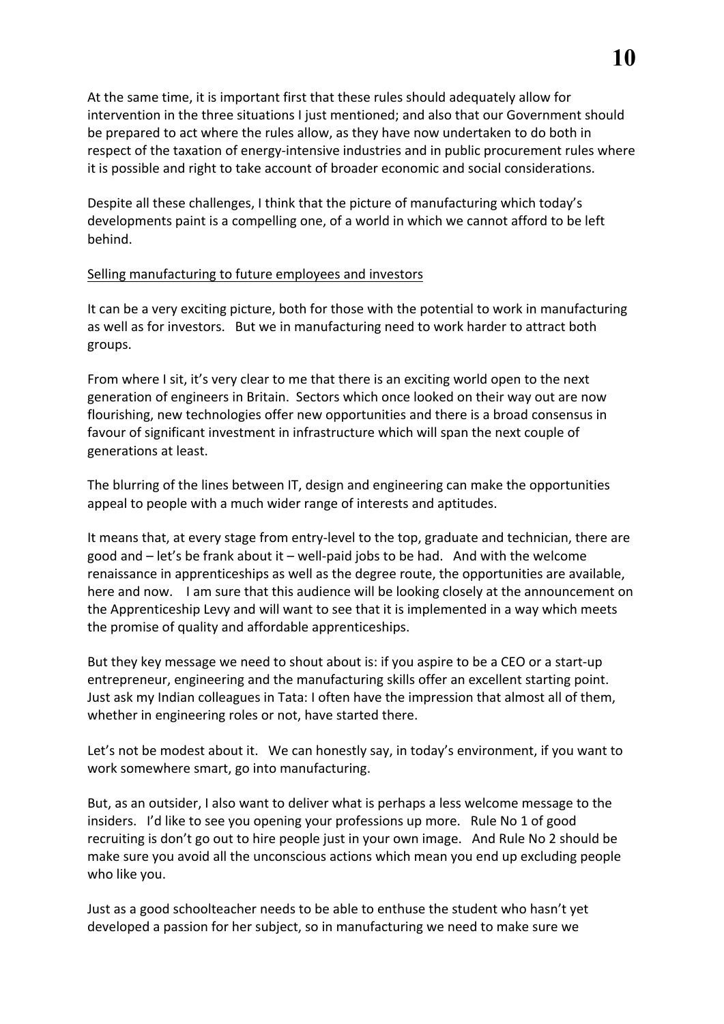At the same time, it is important first that these rules should adequately allow for intervention in the three situations I just mentioned; and also that our Government should be prepared to act where the rules allow, as they have now undertaken to do both in respect of the taxation of energy-intensive industries and in public procurement rules where it is possible and right to take account of broader economic and social considerations.

Despite all these challenges, I think that the picture of manufacturing which today's developments paint is a compelling one, of a world in which we cannot afford to be left behind.

## Selling manufacturing to future employees and investors

It can be a very exciting picture, both for those with the potential to work in manufacturing as well as for investors. But we in manufacturing need to work harder to attract both groups.

From where I sit, it's very clear to me that there is an exciting world open to the next generation of engineers in Britain. Sectors which once looked on their way out are now flourishing, new technologies offer new opportunities and there is a broad consensus in favour of significant investment in infrastructure which will span the next couple of generations at least.

The blurring of the lines between IT, design and engineering can make the opportunities appeal to people with a much wider range of interests and aptitudes.

It means that, at every stage from entry-level to the top, graduate and technician, there are good and  $-$  let's be frank about it  $-$  well-paid jobs to be had. And with the welcome renaissance in apprenticeships as well as the degree route, the opportunities are available, here and now. I am sure that this audience will be looking closely at the announcement on the Apprenticeship Levy and will want to see that it is implemented in a way which meets the promise of quality and affordable apprenticeships.

But they key message we need to shout about is: if you aspire to be a CEO or a start-up entrepreneur, engineering and the manufacturing skills offer an excellent starting point. Just ask my Indian colleagues in Tata: I often have the impression that almost all of them, whether in engineering roles or not, have started there.

Let's not be modest about it. We can honestly say, in today's environment, if you want to work somewhere smart, go into manufacturing.

But, as an outsider, I also want to deliver what is perhaps a less welcome message to the insiders. I'd like to see you opening your professions up more. Rule No 1 of good recruiting is don't go out to hire people just in your own image. And Rule No 2 should be make sure you avoid all the unconscious actions which mean you end up excluding people who like you.

Just as a good schoolteacher needs to be able to enthuse the student who hasn't yet developed a passion for her subject, so in manufacturing we need to make sure we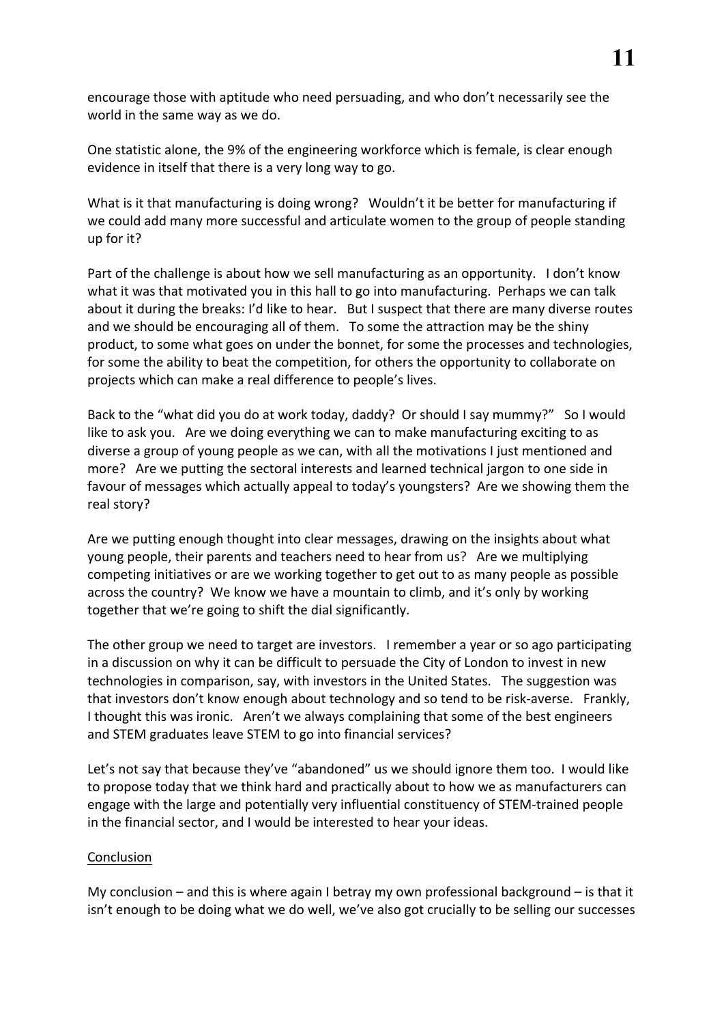encourage those with aptitude who need persuading, and who don't necessarily see the world in the same way as we do.

One statistic alone, the 9% of the engineering workforce which is female, is clear enough evidence in itself that there is a very long way to go.

What is it that manufacturing is doing wrong? Wouldn't it be better for manufacturing if we could add many more successful and articulate women to the group of people standing up for it? 

Part of the challenge is about how we sell manufacturing as an opportunity. I don't know what it was that motivated you in this hall to go into manufacturing. Perhaps we can talk about it during the breaks: I'd like to hear. But I suspect that there are many diverse routes and we should be encouraging all of them. To some the attraction may be the shiny product, to some what goes on under the bonnet, for some the processes and technologies, for some the ability to beat the competition, for others the opportunity to collaborate on projects which can make a real difference to people's lives.

Back to the "what did you do at work today, daddy? Or should I say mummy?" So I would like to ask you. Are we doing everything we can to make manufacturing exciting to as diverse a group of young people as we can, with all the motivations I just mentioned and more? Are we putting the sectoral interests and learned technical jargon to one side in favour of messages which actually appeal to today's youngsters? Are we showing them the real story?

Are we putting enough thought into clear messages, drawing on the insights about what young people, their parents and teachers need to hear from us? Are we multiplying competing initiatives or are we working together to get out to as many people as possible across the country? We know we have a mountain to climb, and it's only by working together that we're going to shift the dial significantly.

The other group we need to target are investors. I remember a year or so ago participating in a discussion on why it can be difficult to persuade the City of London to invest in new technologies in comparison, say, with investors in the United States. The suggestion was that investors don't know enough about technology and so tend to be risk-averse. Frankly, I thought this was ironic. Aren't we always complaining that some of the best engineers and STEM graduates leave STEM to go into financial services?

Let's not say that because they've "abandoned" us we should ignore them too. I would like to propose today that we think hard and practically about to how we as manufacturers can engage with the large and potentially very influential constituency of STEM-trained people in the financial sector, and I would be interested to hear your ideas.

#### Conclusion

My conclusion – and this is where again I betray my own professional background – is that it isn't enough to be doing what we do well, we've also got crucially to be selling our successes